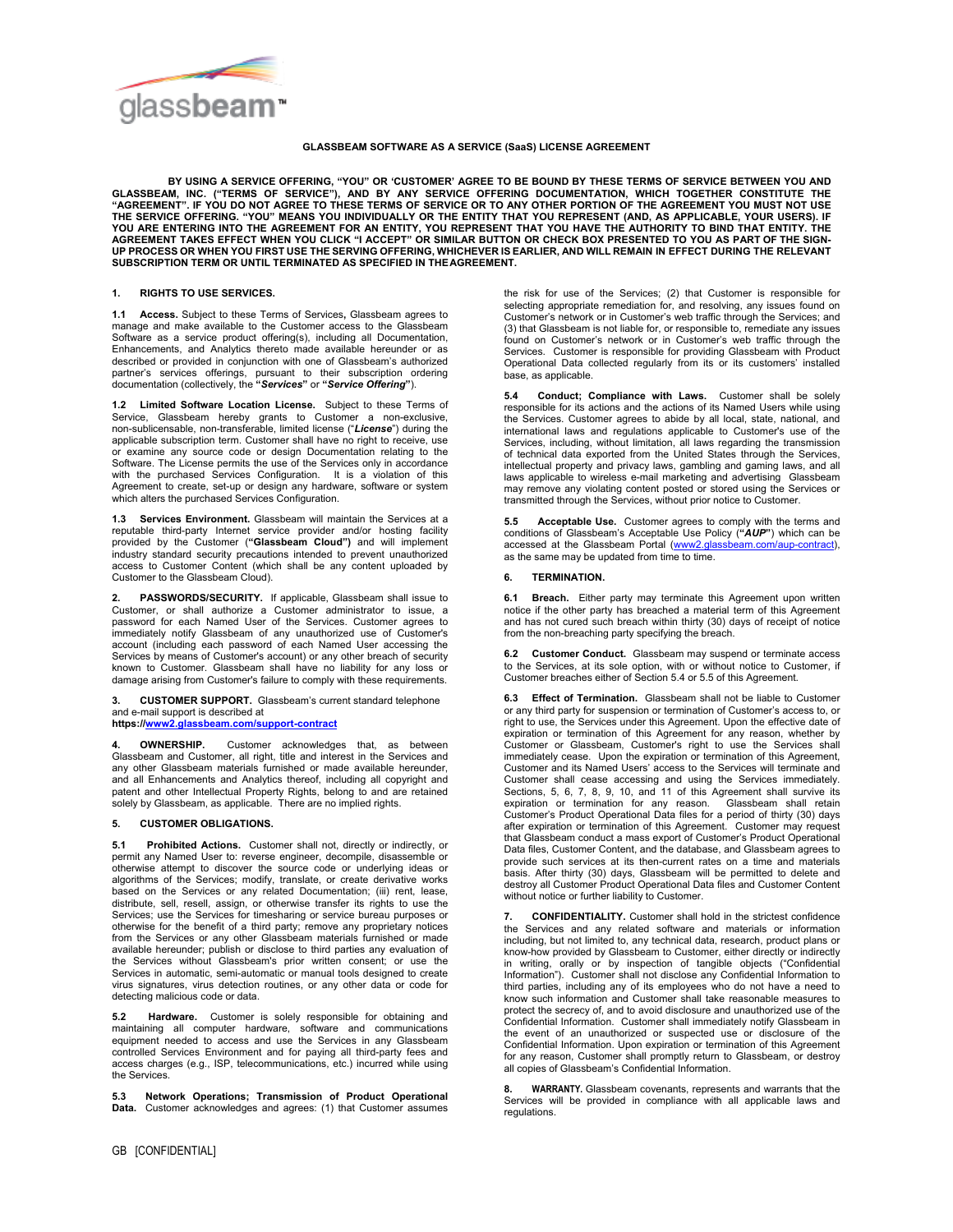

## **GLASSBEAM SOFTWARE AS A SERVICE (SaaS) LICENSE AGREEMENT**

**BY USING A SERVICE OFFERING, "YOU" OR 'CUSTOMER' AGREE TO BE BOUND BY THESE TERMS OF SERVICE BETWEEN YOU AND GLASSBEAM, INC. ("TERMS OF SERVICE"), AND BY ANY SERVICE OFFERING DOCUMENTATION, WHICH TOGETHER CONSTITUTE THE "AGREEMENT". IF YOU DO NOT AGREE TO THESE TERMS OF SERVICE OR TO ANY OTHER PORTION OF THE AGREEMENT YOU MUST NOT USE**  THE SERVICE OFFERING. "YOU" MEANS YOU INDIVIDUALLY OR THE ENTITY THAT YOU REPRESENT (AND, AS APPLICABLE, YOUR USERS). IF<br>YOU ARE ENTERING INTO THE AGREEMENT FOR AN ENTITY, YOU REPRESENT THAT YOU HAVE THE AUTHORITY TO BIND **SUBSCRIPTION TERM OR UNTIL TERMINATED AS SPECIFIED IN THE AGREEMENT.** 

## **1. RIGHTS TO USE SERVICES.**

**1.1 Access.** Subject to these Terms of Services**,** Glassbeam agrees to manage and make available to the Customer access to the Glassbeam Software as a service product offering(s), including all Documentation, Enhancements, and Analytics thereto made available hereunder or as described or provided in conjunction with one of Glassbeam's authorized partner's services offerings, pursuant to their subscription ordering documentation (collectively, the **"***Services***"** or **"***Service Offering***"**).

**1.2 Limited Software Location License.** Subject to these Terms of Service, Glassbeam hereby grants to Customer a non-exclusive, non-sublicensable, non-transferable, limited license ("*License*") during the applicable subscription term. Customer shall have no right to receive, use or examine any source code or design Documentation relating to the Software. The License permits the use of the Services only in accordance with the purchased Services Configuration. It is a violation of this Agreement to create, set-up or design any hardware, software or system which alters the purchased Services Configuration.

**1.3 Services Environment.** Glassbeam will maintain the Services at a reputable third-party Internet service provider and/or hosting facility provided by the Customer (**"Glassbeam Cloud")** and will implement industry standard security precautions intended to prevent unauthorized access to Customer Content (which shall be any content uploaded by Customer to the Glassbeam Cloud).

**2. PASSWORDS/SECURITY.** If applicable, Glassbeam shall issue to Customer, or shall authorize a Customer administrator to issue, a password for each Named User of the Services. Customer agrees to immediately notify Glassbeam of any unauthorized use of Customer's account (including each password of each Named User accessing the Services by means of Customer's account) or any other breach of security known to Customer. Glassbeam shall have no liability for any loss or damage arising from Customer's failure to comply with these requirements.

**3. CUSTOMER SUPPORT.** Glassbeam's current standard telephone and e-mail support is described at

**https:[//www2.glassbeam.com/support-contract](http://www.glassbeam.com/support-contract)**

**4. OWNERSHIP.** Customer acknowledges that, as between<br>Glassbeam and Customer, all right, title and interest in the Services and<br>any other Glassbeam materials furnished or made available hereunder, and all Enhancements and Analytics thereof, including all copyright and patent and other Intellectual Property Rights, belong to and are retained solely by Glassbeam, as applicable. There are no implied rights.

## **5. CUSTOMER OBLIGATIONS.**

**5.1 Prohibited Actions.** Customer shall not, directly or indirectly, or permit any Named User to: reverse engineer, decompile, disassemble or otherwise attempt to discover the source code or underlying ideas or algorithms of the Services; modify, translate, or create derivative works based on the Services or any related Documentation; (iii) rent, lease, distribute, sell, resell, assign, or otherwise transfer its rights to use the Services; use the Services for timesharing or service bureau purposes or otherwise for the benefit of a third party; remove any proprietary notices from the Services or any other Glassbeam materials furnished or made available hereunder; publish or disclose to third parties any evaluation of the Services without Glassbeam's prior written consent; or use the Services in automatic, semi-automatic or manual tools designed to create virus signatures, virus detection routines, or any other data or code for detecting malicious code or data.

Hardware. Customer is solely responsible for obtaining and maintaining all computer hardware, software and communications equipment needed to access and use the Services in any Glassbeam controlled Services Environment and for paying all third-party fees and access charges (e.g., ISP, telecommunications, etc.) incurred while using the Services.

**5.3 Network Operations; Transmission of Product Operational Data.** Customer acknowledges and agrees: (1) that Customer assumes the risk for use of the Services; (2) that Customer is responsible for selecting appropriate remediation for, and resolving, any issues found on Customer's network or in Customer's web traffic through the Services; and (3) that Glassbeam is not liable for, or responsible to, remediate any issues found on Customer's network or in Customer's web traffic through the Services. Customer is responsible for providing Glassbeam with Product Operational Data collected regularly from its or its customers' installed base, as applicable.

**5.4 Conduct; Compliance with Laws.** Customer shall be solely responsible for its actions and the actions of its Named Users while using the Services. Customer agrees to abide by all local, state, national, and international laws and regulations applicable to Customer's use of the Services, including, without limitation, all laws regarding the transmission of technical data exported from the United States through the Services, intellectual property and privacy laws, gambling and gaming laws, and all laws applicable to wireless e-mail marketing and advertising Glassbeam may remove any violating content posted or stored using the Services or transmitted through the Services, without prior notice to Customer.

**5.5 Acceptable Use.** Customer agrees to comply with the terms and conditions of Glassbeam's Acceptable Use Policy (**"***AUP***"**) which can be accessed at the Glassbeam Portal (www2.glass as the same may be updated from time to time.

## **6. TERMINATION.**

**6.1 Breach.** Either party may terminate this Agreement upon written notice if the other party has breached a material term of this Agreement and has not cured such breach within thirty (30) days of receipt of notice from the non-breaching party specifying the breach.

**6.2 Customer Conduct.** Glassbeam may suspend or terminate access to the Services, at its sole option, with or without notice to Customer, if Customer breaches either of Section 5.4 or 5.5 of this Agreement.

**6.3 Effect of Termination.** Glassbeam shall not be liable to Customer or any third party for suspension or termination of Customer's access to, or right to use, the Services under this Agreement. Upon the effective date of expiration or termination of this Agreement for any reason, whether by Customer or Glassbeam, Customer's right to use the Services shall immediately cease. Upon the expiration or termination of this Agreement, Customer and its Named Users' access to the Services will terminate and Customer shall cease accessing and using the Services immediately. Sections, 5, 6, 7, 8, 9, 10, and 11 of this Agreement shall survive its<br>expiration or termination for any reason. Classbeam shall retain<br>Customer's Product Operational Data files for a period of thirty (30) days<br>after expi that Glassbeam conduct a mass export of Customer's Product Operational Data files, Customer Content, and the database, and Glassbeam agrees to provide such services at its then-current rates on a time and materials basis. After thirty (30) days, Glassbeam will be permitted to delete and destroy all Customer Product Operational Data files and Customer Content without notice or further liability to Customer.

**7. CONFIDENTIALITY.** Customer shall hold in the strictest confidence the Services and any related software and materials or information including, but not limited to, any technical data, research, product plans or know-how provided by Glassbeam to Customer, either directly or indirectly in writing, orally or by inspection of tangible objects ("Confidential Information"). Customer shall not disclose any Confidential Information to third parties, including any of its employees who do not have a need to know such information and Customer shall take reasonable measures to protect the secrecy of, and to avoid disclosure and unauthorized use of the Confidential Information. Customer shall immediately notify Glassbeam in the event of an unauthorized or suspected use or disclosure of the Confidential Information. Upon expiration or termination of this Agreement for any reason, Customer shall promptly return to Glassbeam, or destroy all copies of Glassbeam's Confidential Information.

**8. WARRANTY.** Glassbeam covenants, represents and warrants that the Services will be provided in compliance with all applicable laws and regulations.